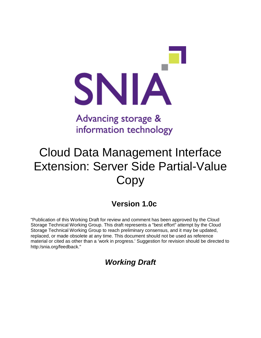

## Advancing storage & information technology

# Cloud Data Management Interface Extension: Server Side Partial-Value **Copy**

### **Version 1.0c**

"Publication of this Working Draft for review and comment has been approved by the Cloud Storage Technical Working Group. This draft represents a "best effort" attempt by the Cloud Storage Technical Working Group to reach preliminary consensus, and it may be updated, replaced, or made obsolete at any time. This document should not be used as reference material or cited as other than a 'work in progress.' Suggestion for revision should be directed to http:/snia.org/feedback."

### *Working Draft*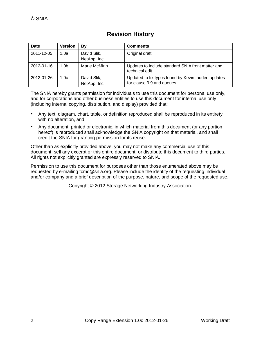| <b>Revision History</b> |  |
|-------------------------|--|
|-------------------------|--|

| Date       | <b>Version</b>   | By                          | <b>Comments</b>                                                                  |
|------------|------------------|-----------------------------|----------------------------------------------------------------------------------|
| 2011-12-05 | 1.0a             | David Slik,<br>NetApp, Inc. | Original draft                                                                   |
| 2012-01-16 | 1.0 <sub>b</sub> | Marie McMinn                | Updates to include standard SNIA front matter and<br>technical edit              |
| 2012-01-26 | 1.0 <sub>c</sub> | David Slik,<br>NetApp, Inc. | Updated to fix typos found by Kevin, added updates<br>for clause 9.9 and queues. |

The SNIA hereby grants permission for individuals to use this document for personal use only, and for corporations and other business entities to use this document for internal use only (including internal copying, distribution, and display) provided that:

- Any text, diagram, chart, table, or definition reproduced shall be reproduced in its entirety with no alteration, and,
- Any document, printed or electronic, in which material from this document (or any portion hereof) is reproduced shall acknowledge the SNIA copyright on that material, and shall credit the SNIA for granting permission for its reuse.

Other than as explicitly provided above, you may not make any commercial use of this document, sell any excerpt or this entire document, or distribute this document to third parties. All rights not explicitly granted are expressly reserved to SNIA.

Permission to use this document for purposes other than those enumerated above may be requested by e-mailing tcmd@snia.org. Please include the identity of the requesting individual and/or company and a brief description of the purpose, nature, and scope of the requested use.

Copyright © 2012 Storage Networking Industry Association.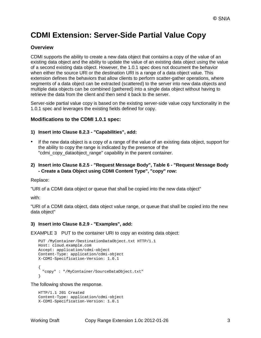### **CDMI Extension: Server-Side Partial Value Copy**

#### **Overview**

CDMI supports the ability to create a new data object that contains a copy of the value of an existing data object and the ability to update the value of an existing data object using the value of a second existing data object. However, the 1.0.1 spec does not document the behavior when either the source URI or the destination URI is a range of a data object value. This extension defines the behaviors that allow clients to perform scatter-gather operations, where segments of a data object can be extracted (scattered) to the server into new data objects and multiple data objects can be combined (gathered) into a single data object without having to retrieve the data from the client and then send it back to the server.

Server-side partial value copy is based on the existing server-side value copy functionality in the 1.0.1 spec and leverages the existing fields defined for copy.

#### **Modifications to the CDMI 1.0.1 spec:**

#### **1) Insert into Clause 8.2.3 - "Capabilities", add:**

- If the new data object is a copy of a range of the value of an existing data object, support for the ability to copy the range is indicated by the presence of the "cdmi\_copy\_dataobject\_range" capability in the parent container.
- **2) Insert into Clause 8.2.5 - "Request Message Body", Table 6 - "Request Message Body - Create a Data Object using CDMI Content Type", "copy" row:**

Replace:

"URI of a CDMI data object or queue that shall be copied into the new data object"

with:

"URI of a CDMI data object, data object value range, or queue that shall be copied into the new data object"

#### **3) Insert into Clause 8.2.9 - "Examples", add:**

EXAMPLE 3 PUT to the container URI to copy an existing data object:

```
PUT /MyContainer/DestinationDataObject.txt HTTP/1.1 
Host: cloud.example.com 
Accept: application/cdmi-object 
Content-Type: application/cdmi-object 
X-CDMI-Specification-Version: 1.0.1
{
 "copy" : "/MyContainer/SourceDataObject.txt"
}
```
The following shows the response.

```
HTTP/1.1 201 Created 
Content-Type: application/cdmi-object 
X-CDMI-Specification-Version: 1.0.1
```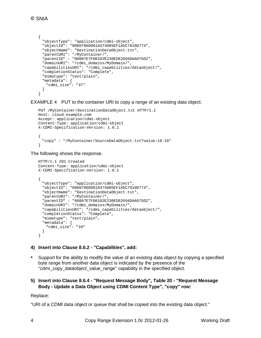```
{
 "objectType": "application/cdmi-object", 
 "objectID": "0000706D0010374085EF1A5C7018D774", 
 "objectName": "DestinationDataObject.txt", 
 "parentURI": "/MyContainer/", 
 "parentID" : "00007E7F00102E230ED82694DAA975D2", 
 "domainURI": "/cdmi_domains/MyDomain/", 
  "capabilitiesURI": "/cdmi_capabilities/dataobject/", 
 "completionStatus": "Complete", 
 "mimetype": "text/plain", 
 "metadata": {
   "cdmi_size": "37"
 }
}
```
EXAMPLE 4 PUT to the container URI to copy a range of an existing data object:

```
PUT /MyContainer/DestinationDataObject.txt HTTP/1.1 
Host: cloud.example.com 
Accept: application/cdmi-object 
Content-Type: application/cdmi-object 
X-CDMI-Specification-Version: 1.0.1
{
  "copy" : "/MyContainer/SourceDataObject.txt?value:10-19"
}
```
The following shows the response.

```
HTTP/1.1 201 Created 
Content-Type: application/cdmi-object 
X-CDMI-Specification-Version: 1.0.1
{
 "objectType": "application/cdmi-object", 
 "objectID": "0000706D0010374085EF1A5C7018D774", 
 "objectName": "DestinationDataObject.txt", 
 "parentURI": "/MyContainer/", 
 "parentID" : "00007E7F00102E230ED82694DAA975D2", 
 "domainURI": "/cdmi_domains/MyDomain/", 
 "capabilitiesURI": "/cdmi_capabilities/dataobject/", 
 "completionStatus": "Complete", 
 "mimetype": "text/plain", 
 "metadata": {
   "cdmi_size": "10"
 }
}
```
#### **4) Insert into Clause 8.6.2 - "Capabilities", add:**

- Support for the ability to modify the value of an existing data object by copying a specified byte range from another data object is indicated by the presence of the "cdmi\_copy\_dataobject\_value\_range" capability in the specified object.
- **5) Insert into Clause 8.6.4 - "Request Message Body", Table 20 - "Request Message Body - Update a Data Object using CDMI Content Type", "copy" row:**

Replace:

"URI of a CDMI data object or queue that shall be copied into the existing data object."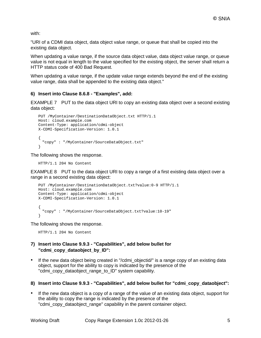with:

"URI of a CDMI data object, data object value range, or queue that shall be copied into the existing data object.

When updating a value range, if the source data object value, data object value range, or queue value is not equal in length to the value specified for the existing object, the server shall return a HTTP status code of 400 Bad Request.

When updating a value range, if the update value range extends beyond the end of the existing value range, data shall be appended to the existing data object."

#### **6) Insert into Clause 8.6.8 - "Examples", add:**

EXAMPLE 7 PUT to the data object URI to copy an existing data object over a second existing data object:

```
PUT /MyContainer/DestinationDataObject.txt HTTP/1.1 
Host: cloud.example.com 
Content-Type: application/cdmi-object 
X-CDMI-Specification-Version: 1.0.1
{
 "copy" : "/MyContainer/SourceDataObject.txt"
}
```
The following shows the response.

HTTP/1.1 204 No Content

EXAMPLE 8 PUT to the data object URI to copy a range of a first existing data object over a range in a second existing data object:

```
PUT /MyContainer/DestinationDataObject.txt?value:0-9 HTTP/1.1 
Host: cloud.example.com 
Content-Type: application/cdmi-object 
X-CDMI-Specification-Version: 1.0.1
{
 "copy" : "/MyContainer/SourceDataObject.txt?value:10-19"
}
```
The following shows the response.

HTTP/1.1 204 No Content

#### **7) Insert into Clause 9.9.3 - "Capabilities", add below bullet for "cdmi\_copy\_dataobject\_by\_ID":**

• If the new data object being created in "/cdmi\_objectid/" is a range copy of an existing data object, support for the ability to copy is indicated by the presence of the "cdmi\_copy\_dataobject\_range\_to\_ID" system capability.

#### **8) Insert into Clause 9.9.3 - "Capabilities", add below bullet for "cdmi\_copy\_dataobject":**

• If the new data object is a copy of a range of the value of an existing data object, support for the ability to copy the range is indicated by the presence of the "cdmi\_copy\_dataobject\_range" capability in the parent container object.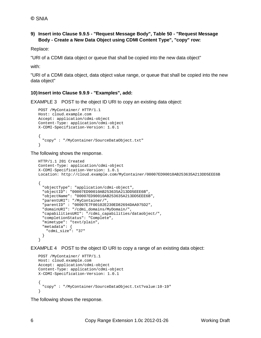#### **9) Insert into Clause 9.9.5 - "Request Message Body", Table 50 - "Request Message Body - Create a New Data Object using CDMI Content Type", "copy" row:**

Replace:

"URI of a CDMI data object or queue that shall be copied into the new data object"

with:

"URI of a CDMI data object, data object value range, or queue that shall be copied into the new data object"

#### **10) Insert into Clause 9.9.9 - "Examples", add:**

EXAMPLE 3 POST to the object ID URI to copy an existing data object:

```
POST /MyContainer/ HTTP/1.1 
Host: cloud.example.com 
Accept: application/cdmi-object 
Content-Type: application/cdmi-object 
X-CDMI-Specification-Version: 1.0.1
{
  "copy" : "/MyContainer/SourceDataObject.txt"
}
```
#### The following shows the response.

```
HTTP/1.1 201 Created 
Content-Type: application/cdmi-object 
X-CDMI-Specification-Version: 1.0.1
Location: http://cloud.example.com/MyContainer/00007ED90010AB253635A213DD5EEE6B
{
  "objectType": "application/cdmi-object", 
  "objectID": "00007ED90010AB253635A213DD5EEE6B", 
  "objectName": "00007ED90010AB253635A213DD5EEE6B", 
  "parentURI": "/MyContainer/", 
  "parentID" : "00007E7F00102E230ED82694DAA975D2", 
  "domainURI": "/cdmi_domains/MyDomain/", 
  "capabilitiesURI": "/cdmi_capabilities/dataobject/", 
  "completionStatus": "Complete", 
 "mimetype": "text/plain", 
 "metadata": {
   "cdmi_size": "37"
 }
}
```
EXAMPLE 4 POST to the object ID URI to copy a range of an existing data object:

```
POST /MyContainer/ HTTP/1.1 
Host: cloud.example.com 
Accept: application/cdmi-object 
Content-Type: application/cdmi-object 
X-CDMI-Specification-Version: 1.0.1
{
  "copy" : "/MyContainer/SourceDataObject.txt?value:10-19"
}
```
The following shows the response.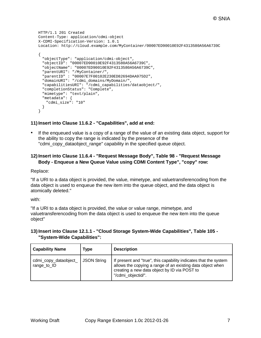```
HTTP/1.1 201 Created 
Content-Type: application/cdmi-object 
X-CDMI-Specification-Version: 1.0.1
Location: http://cloud.example.com/MyContainer/00007ED90010E92F4313580A56A6739C
{
 "objectType": "application/cdmi-object", 
 "objectID": "00007ED90010E92F4313580A56A6739C", 
  "objectName": "00007ED90010E92F4313580A56A6739C", 
 "parentURI": "/MyContainer/", 
  "parentID" : "00007E7F00102E230ED82694DAA975D2", 
 "domainURI": "/cdmi_domains/MyDomain/", 
 "capabilitiesURI": "/cdmi_capabilities/dataobject/", 
 "completionStatus": "Complete", 
 "mimetype": "text/plain", 
 "metadata": {
   "cdmi_size": "10"
 }
}
```
#### **11) Insert into Clause 11.6.2 - "Capabilities", add at end:**

• If the enqueued value is a copy of a range of the value of an existing data object, support for the ability to copy the range is indicated by the presence of the "cdmi\_copy\_dataobject\_range" capability in the specified queue object.

#### **12) Insert into Clause 11.6.4 - "Request Message Body", Table 98 - "Request Message Body - Enqueue a New Queue Value using CDMI Content Type", "copy" row:**

#### Replace:

"If a URI to a data object is provided, the value, mimetype, and valuetransferencoding from the data object is used to enqueue the new item into the queue object, and the data object is atomically deleted."

with:

"If a URI to a data object is provided, the value or value range, mimetype, and valuetransferencoding from the data object is used to enqueue the new item into the queue object"

#### **13) Insert into Clause 12.1.1 - "Cloud Storage System-Wide Capabilities", Table 105 - "System-Wide Capabilities":**

| <b>Capability Name</b>               | Type               | <b>Description</b>                                                                                                                                                                                   |
|--------------------------------------|--------------------|------------------------------------------------------------------------------------------------------------------------------------------------------------------------------------------------------|
| cdmi_copy_dataobject_<br>range_to_ID | <b>JSON String</b> | If present and "true", this capability indicates that the system<br>allows the copying a range of an existing data object when<br>creating a new data object by ID via POST to<br>"/cdmi objectid/". |